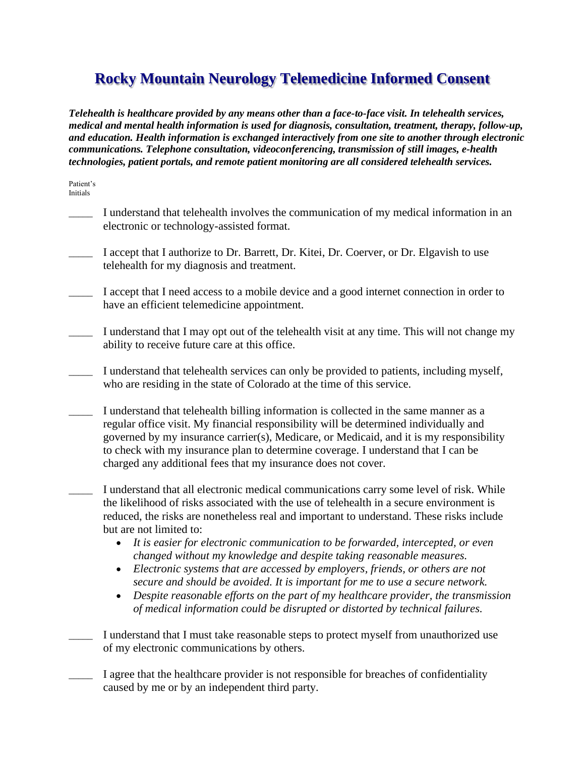## **Rocky Mountain Neurology Telemedicine Informed Consent**

*Telehealth is healthcare provided by any means other than a face-to-face visit. In telehealth services, medical and mental health information is used for diagnosis, consultation, treatment, therapy, follow-up, and education. Health information is exchanged interactively from one site to another through electronic communications. Telephone consultation, videoconferencing, transmission of still images, e-health technologies, patient portals, and remote patient monitoring are all considered telehealth services.*

Patient's Initials

- I understand that telehealth involves the communication of my medical information in an electronic or technology-assisted format.
- I accept that I authorize to Dr. Barrett, Dr. Kitei, Dr. Coerver, or Dr. Elgavish to use telehealth for my diagnosis and treatment.
- I accept that I need access to a mobile device and a good internet connection in order to have an efficient telemedicine appointment.
- I understand that I may opt out of the telehealth visit at any time. This will not change my ability to receive future care at this office.
- I understand that telehealth services can only be provided to patients, including myself, who are residing in the state of Colorado at the time of this service.
- I understand that telehealth billing information is collected in the same manner as a regular office visit. My financial responsibility will be determined individually and governed by my insurance carrier(s), Medicare, or Medicaid, and it is my responsibility to check with my insurance plan to determine coverage. I understand that I can be charged any additional fees that my insurance does not cover.
- I understand that all electronic medical communications carry some level of risk. While the likelihood of risks associated with the use of telehealth in a secure environment is reduced, the risks are nonetheless real and important to understand. These risks include but are not limited to:
	- *It is easier for electronic communication to be forwarded, intercepted, or even changed without my knowledge and despite taking reasonable measures.*
	- *Electronic systems that are accessed by employers, friends, or others are not secure and should be avoided. It is important for me to use a secure network.*
	- *Despite reasonable efforts on the part of my healthcare provider, the transmission of medical information could be disrupted or distorted by technical failures.*
- I understand that I must take reasonable steps to protect myself from unauthorized use of my electronic communications by others.
	- I agree that the healthcare provider is not responsible for breaches of confidentiality caused by me or by an independent third party.